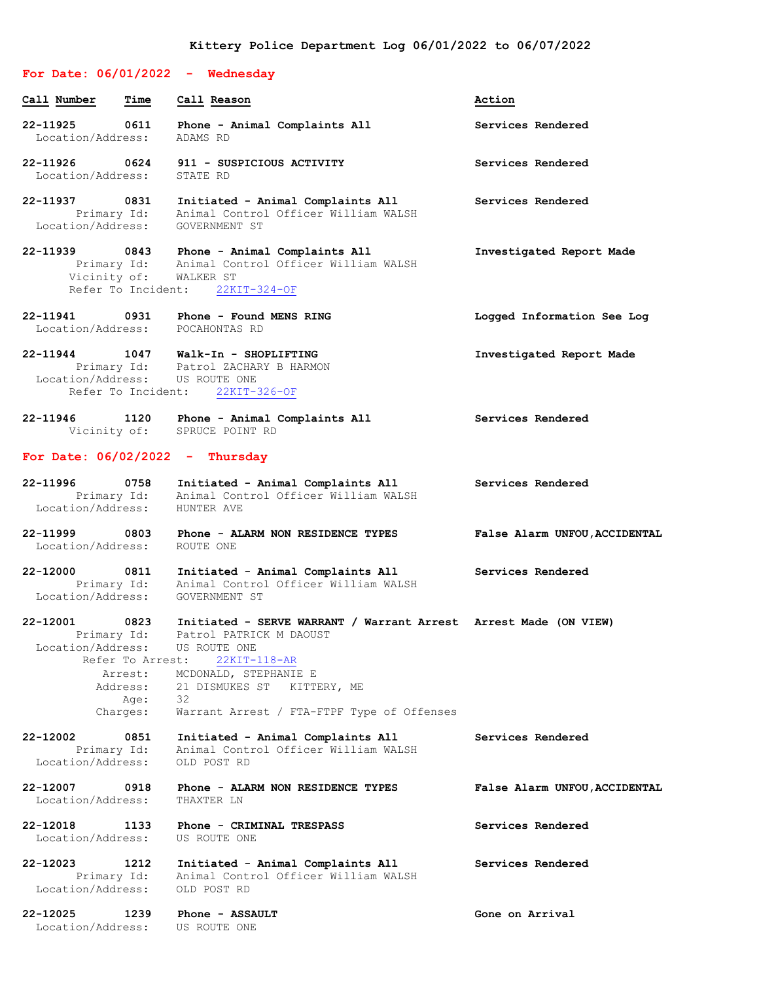## **For Date: 06/01/2022 - Wednesday**

Location/Address: STATE RD

Location/Address: GOVERNMENT ST

**Call Number Time Call Reason Action 22-11925 0611 Phone - Animal Complaints All Services Rendered** Location/Address: ADAMS RD **22-11926 0624 911 - SUSPICIOUS ACTIVITY Services Rendered**

**22-11937 0831 Initiated - Animal Complaints All Services Rendered** Primary Id: Animal Control Officer William WALSH

**22-11939 0843 Phone - Animal Complaints All Investigated Report Made** Primary Id: Animal Control Officer William WALSH Vicinity of: WALKER ST Refer To Incident: 22KIT-324-OF

**22-11941 0931 Phone - Found MENS RING Logged Information See Log** Location/Address: POCAHONTAS RD

**22-11944 1047 Walk-In - SHOPLIFTING Investigated Report Made** Primary Id: Patrol ZACHARY B HARMON Location/Address: US ROUTE ONE Refer To Incident: 22KIT-326-OF

**22-11946 1120 Phone - Animal Complaints All Services Rendered** Vicinity of: SPRUCE POINT RD

#### **For Date: 06/02/2022 - Thursday**

- **22-11996 0758 Initiated - Animal Complaints All Services Rendered** Primary Id: Animal Control Officer William WALSH Location/Address: HUNTER AVE
- **22-11999 0803 Phone - ALARM NON RESIDENCE TYPES False Alarm UNFOU,ACCIDENTAL** Location/Address: ROUTE ONE

**22-12000 0811 Initiated - Animal Complaints All Services Rendered** Primary Id: Animal Control Officer William WALSH Location/Address: GOVERNMENT ST

**22-12001 0823 Initiated - SERVE WARRANT / Warrant Arrest Arrest Made (ON VIEW)** Primary Id: Patrol PATRICK M DAOUST Location/Address: US ROUTE ONE Refer To Arrest: 22KIT-118-AR

 Arrest: MCDONALD, STEPHANIE E Address: 21 DISMUKES ST KITTERY, ME Age: 32 Charges: Warrant Arrest / FTA-FTPF Type of Offenses

# **22-12002 0851 Initiated - Animal Complaints All Services Rendered** Primary Id: Animal Control Officer William WALSH Location/Address: OLD POST RD

## **22-12007 0918 Phone - ALARM NON RESIDENCE TYPES False Alarm UNFOU,ACCIDENTAL** Location/Address:

**22-12018 1133 Phone - CRIMINAL TRESPASS Services Rendered** Location/Address: US ROUTE ONE

**22-12023 1212 Initiated - Animal Complaints All Services Rendered** Primary Id: Animal Control Officer William WALSH Location/Address: OLD POST RD

**22-12025 1239 Phone - ASSAULT Gone on Arrival** Location/Address: US ROUTE ONE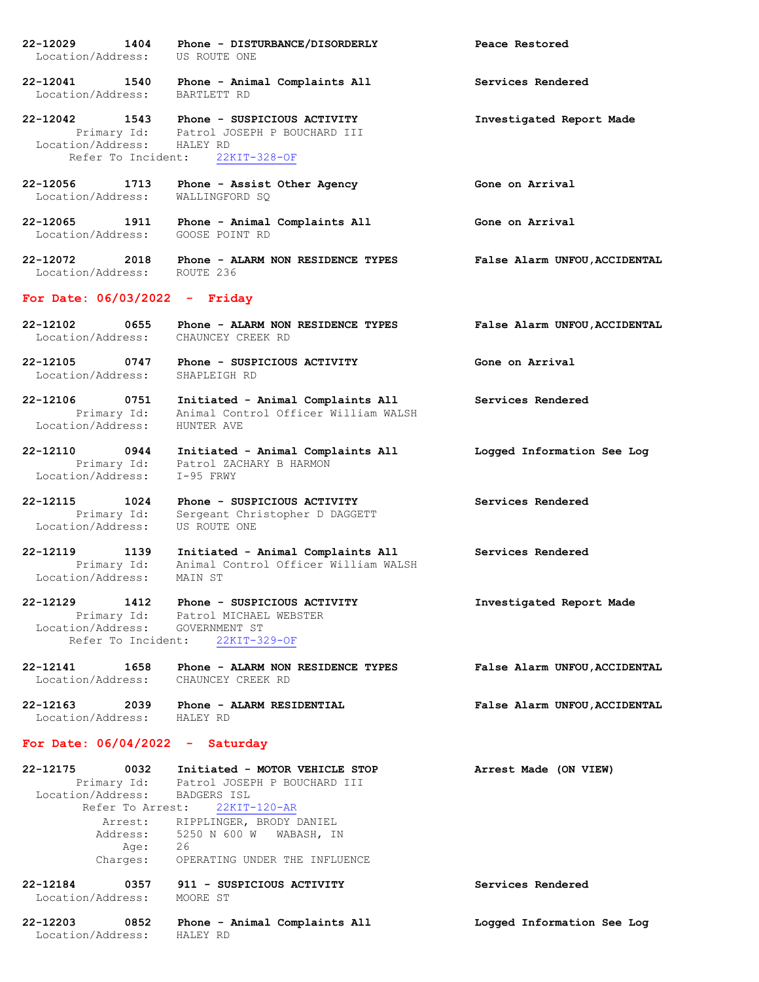- **22-12029 1404 Phone - DISTURBANCE/DISORDERLY Peace Restored** Location/Address: US ROUTE ONE
- **22-12041 1540 Phone - Animal Complaints All Services Rendered** Location/Address: BARTLETT RD
- **22-12042 1543 Phone - SUSPICIOUS ACTIVITY Investigated Report Made** Primary Id: Patrol JOSEPH P BOUCHARD III Location/Address: HALEY RD Refer To Incident: 22KIT-328-OF
- **22-12056 1713 Phone - Assist Other Agency Gone on Arrival** Location/Address: WALLINGFORD SQ
- **22-12065 1911 Phone - Animal Complaints All Gone on Arrival** Location/Address: GOOSE POINT RD
- **22-12072 2018 Phone - ALARM NON RESIDENCE TYPES False Alarm UNFOU,ACCIDENTAL** Location/Address: ROUTE 236

#### **For Date: 06/03/2022 - Friday**

- **22-12102 0655 Phone - ALARM NON RESIDENCE TYPES False Alarm UNFOU,ACCIDENTAL** Location/Address: CHAUNCEY CREEK RD
- **22-12105 0747 Phone - SUSPICIOUS ACTIVITY Gone on Arrival** Location/Address: SHAPLEIGH RD
- **22-12106 0751 Initiated - Animal Complaints All Services Rendered** Primary Id: Animal Control Officer William WALSH Location/Address: HUNTER AVE
- **22-12110 0944 Initiated - Animal Complaints All Logged Information See Log** Primary Id: Patrol ZACHARY B HARMON Location/Address: I-95 FRWY
- **22-12115 1024 Phone - SUSPICIOUS ACTIVITY Services Rendered** Primary Id: Sergeant Christopher D DAGGETT Location/Address: US ROUTE ONE
- **22-12119 1139 Initiated - Animal Complaints All Services Rendered** Primary Id: Animal Control Officer William WALSH Location/Address: MAIN ST
- **22-12129 1412 Phone - SUSPICIOUS ACTIVITY Investigated Report Made** Primary Id: Patrol MICHAEL WEBSTER Location/Address: GOVERNMENT ST Refer To Incident: 22KIT-329-OF
- **22-12141 1658 Phone - ALARM NON RESIDENCE TYPES False Alarm UNFOU,ACCIDENTAL** Location/Address: CHAUNCEY CREEK RD
- **22-12163 2039 Phone - ALARM RESIDENTIAL False Alarm UNFOU,ACCIDENTAL** Location/Address: HALEY RD

## **For Date: 06/04/2022 - Saturday**

| 22-12175                      | 0032 | Initiated - MOTOR VEHICLE STOP           | Arrest Made (ON VIEW)      |
|-------------------------------|------|------------------------------------------|----------------------------|
|                               |      | Primary Id: Patrol JOSEPH P BOUCHARD III |                            |
| Location/Address: BADGERS ISL |      |                                          |                            |
| Refer To Arrest:              |      | 22KIT-120-AR                             |                            |
| Arrest:                       |      | RIPPLINGER, BRODY DANIEL                 |                            |
| Address:                      |      | 5250 N 600 W<br>WABASH, IN               |                            |
|                               | Age: | 26                                       |                            |
| Charges:                      |      | OPERATING UNDER THE INFLUENCE            |                            |
| 22-12184                      | 0357 | 911 - SUSPICIOUS ACTIVITY                | Services Rendered          |
| Location/Address:             |      | MOORE ST                                 |                            |
| 22-12203                      | 0852 | Phone - Animal Complaints All            | Logged Information See Log |
| Location/Address:             |      | HALEY RD                                 |                            |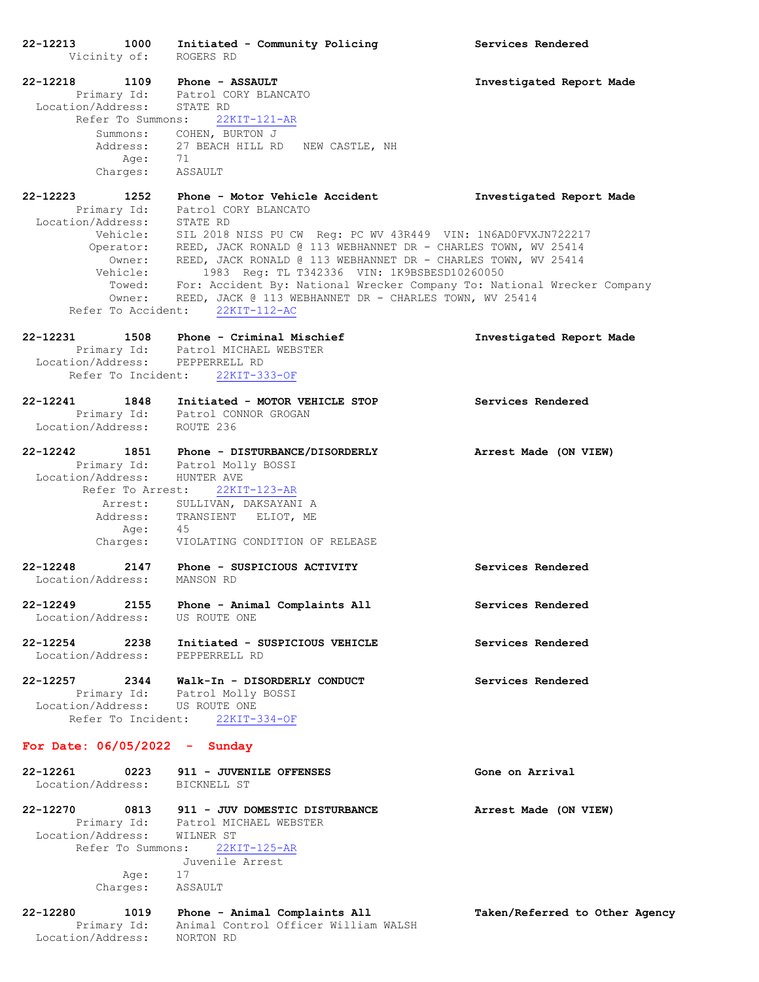**22-12213 1000 Initiated - Community Policing Services Rendered** Vicinity of: ROGERS RD **22-12218 1109 Phone - ASSAULT Investigated Report Made** Primary Id: Patrol CORY BLANCATO Location/Address: STATE RD Refer To Summons: 22KIT-121-AR Summons: COHEN, BURTON J Address: 27 BEACH HILL RD NEW CASTLE, NH Age: 71 Charges: ASSAULT **22-12223 1252 Phone - Motor Vehicle Accident Investigated Report Made** Primary Id: Patrol CORY BLANCATO Location/Address: STATE RD SIL 2018 NISS PU CW Reg: PC WV 43R449 VIN: 1N6AD0FVXJN722217 Operator: REED, JACK RONALD @ 113 WEBHANNET DR - CHARLES TOWN, WV 25414 Owner: REED, JACK RONALD @ 113 WEBHANNET DR - CHARLES TOWN, WV 25414 Vehicle: 1983 Reg: TL T342336 VIN: 1K9BSBESD10260050 Towed: For: Accident By: National Wrecker Company To: National Wrecker Company Owner: REED, JACK @ 113 WEBHANNET DR - CHARLES TOWN, WV 25414 Refer To Accident: 22KIT-112-AC **22-12231 1508 Phone - Criminal Mischief Investigated Report Made** Primary Id: Patrol MICHAEL WEBSTER Location/Address: PEPPERRELL RD Refer To Incident: 22KIT-333-OF **22-12241 1848 Initiated - MOTOR VEHICLE STOP Services Rendered** Primary Id: Patrol CONNOR GROGAN Location/Address: ROUTE 236 **22-12242 1851 Phone - DISTURBANCE/DISORDERLY Arrest Made (ON VIEW)** Primary Id: Patrol Molly BOSSI Location/Address: HUNTER AVE Refer To Arrest: 22KIT-123-AR Arrest: SULLIVAN, DAKSAYANI A Address: TRANSIENT ELIOT, ME Age: 45 Charges: VIOLATING CONDITION OF RELEASE **22-12248 2147 Phone - SUSPICIOUS ACTIVITY Services Rendered** Location/Address: MANSON RD **22-12249 2155 Phone - Animal Complaints All Services Rendered** Location/Address: US ROUTE ONE **22-12254 2238 Initiated - SUSPICIOUS VEHICLE Services Rendered** Location/Address: PEPPERRELL RD **22-12257 2344 Walk-In - DISORDERLY CONDUCT Services Rendered** Primary Id: Patrol Molly BOSSI Location/Address: US ROUTE ONE Refer To Incident: 22KIT-334-OF **For Date: 06/05/2022 - Sunday 22-12261 0223 911 - JUVENILE OFFENSES Gone on Arrival** Location/Address: BICKNELL ST **22-12270 0813 911 - JUV DOMESTIC DISTURBANCE Arrest Made (ON VIEW)** Primary Id: Patrol MICHAEL WEBSTER Location/Address: WILNER ST Refer To Summons: 22KIT-125-AR Juvenile Arrest Age: 17 Charges: ASSAULT

#### **22-12280 1019 Phone - Animal Complaints All Taken/Referred to Other Agency** Primary Id: Animal Control Officer William WALSH Location/Address: NORTON RD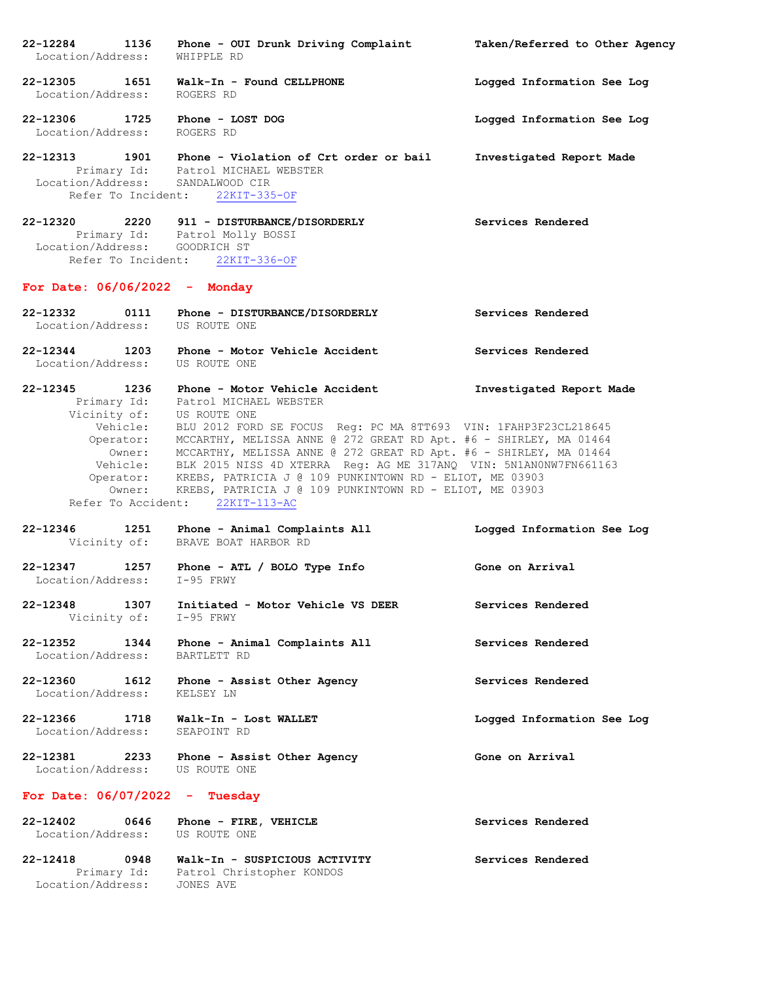**22-12284 1136 Phone - OUI Drunk Driving Complaint Taken/Referred to Other Agency** Location/Address: WHIPPLE RD **22-12305 1651 Walk-In - Found CELLPHONE Logged Information See Log** Location/Address: ROGERS RD **22-12306 1725 Phone - LOST DOG Logged Information See Log** Location/Address: ROGERS RD **22-12313 1901 Phone - Violation of Crt order or bail Investigated Report Made** Primary Id: Patrol MICHAEL WEBSTER Location/Address: SANDALWOOD CIR Refer To Incident: 22KIT-335-OF **22-12320 2220 911 - DISTURBANCE/DISORDERLY Services Rendered** Primary Id: Patrol Molly BOSSI Location/Address: GOODRICH ST Refer To Incident: 22KIT-336-OF **For Date: 06/06/2022 - Monday 22-12332 0111 Phone - DISTURBANCE/DISORDERLY Services Rendered** Location/Address: US ROUTE ONE **22-12344 1203 Phone - Motor Vehicle Accident Services Rendered** Location/Address: US ROUTE ONE **22-12345 1236 Phone - Motor Vehicle Accident Investigated Report Made** Primary Id: Patrol MICHAEL WEBSTER Vicinity of: US ROUTE ONE Vehicle: BLU 2012 FORD SE FOCUS Reg: PC MA 8TT693 VIN: 1FAHP3F23CL218645 Operator: MCCARTHY, MELISSA ANNE @ 272 GREAT RD Apt. #6 - SHIRLEY, MA 01464 Owner: MCCARTHY, MELISSA ANNE @ 272 GREAT RD Apt. #6 - SHIRLEY, MA 01464 Vehicle: BLK 2015 NISS 4D XTERRA Reg: AG ME 317ANQ VIN: 5N1AN0NW7FN661163 Operator: KREBS, PATRICIA J @ 109 PUNKINTOWN RD - ELIOT, ME 03903 Owner: KREBS, PATRICIA J @ 109 PUNKINTOWN RD - ELIOT, ME 03903 Refer To Accident: 22KIT-113-AC **22-12346 1251 Phone - Animal Complaints All Logged Information See Log** Vicinity of: BRAVE BOAT HARBOR RD **22-12347 1257 Phone - ATL / BOLO Type Info Gone on Arrival** Location/Address: I-95 FRWY **22-12348 1307 Initiated - Motor Vehicle VS DEER Services Rendered** Vicinity of: I-95 FRWY **22-12352 1344 Phone - Animal Complaints All Services Rendered** Location/Address: BARTLETT RD **22-12360 1612 Phone - Assist Other Agency Services Rendered** Location/Address: KELSEY LN **22-12366 1718 Walk-In - Lost WALLET Logged Information See Log** Location/Address: **22-12381 2233 Phone - Assist Other Agency Gone on Arrival** Location/Address: US ROUTE ONE **For Date: 06/07/2022 - Tuesday 22-12402 0646 Phone - FIRE, VEHICLE Services Rendered** Location/Address: US ROUTE ONE **22-12418 0948 Walk-In - SUSPICIOUS ACTIVITY Services Rendered** Primary Id: Patrol Christopher KONDOS Location/Address: JONES AVE